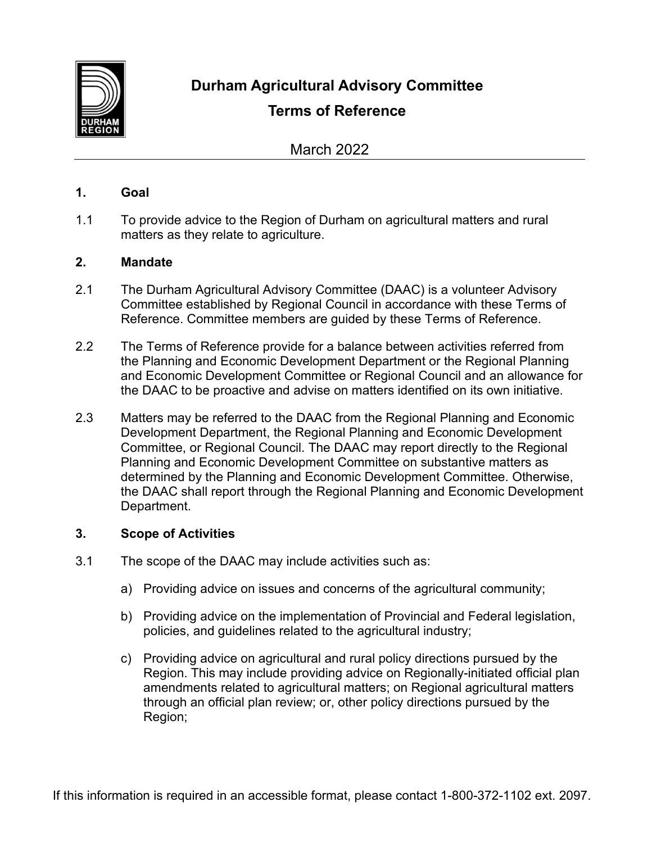

**Durham Agricultural Advisory Committee**

# **Terms of Reference**

March 2022

# **1. Goal**

1.1 To provide advice to the Region of Durham on agricultural matters and rural matters as they relate to agriculture.

## **2. Mandate**

- 2.1 The Durham Agricultural Advisory Committee (DAAC) is a volunteer Advisory Committee established by Regional Council in accordance with these Terms of Reference. Committee members are guided by these Terms of Reference.
- 2.2 The Terms of Reference provide for a balance between activities referred from the Planning and Economic Development Department or the Regional Planning and Economic Development Committee or Regional Council and an allowance for the DAAC to be proactive and advise on matters identified on its own initiative.
- 2.3 Matters may be referred to the DAAC from the Regional Planning and Economic Development Department, the Regional Planning and Economic Development Committee, or Regional Council. The DAAC may report directly to the Regional Planning and Economic Development Committee on substantive matters as determined by the Planning and Economic Development Committee. Otherwise, the DAAC shall report through the Regional Planning and Economic Development Department.

# **3. Scope of Activities**

- 3.1 The scope of the DAAC may include activities such as:
	- a) Providing advice on issues and concerns of the agricultural community;
	- b) Providing advice on the implementation of Provincial and Federal legislation, policies, and guidelines related to the agricultural industry;
	- c) Providing advice on agricultural and rural policy directions pursued by the Region. This may include providing advice on Regionally-initiated official plan amendments related to agricultural matters; on Regional agricultural matters through an official plan review; or, other policy directions pursued by the Region;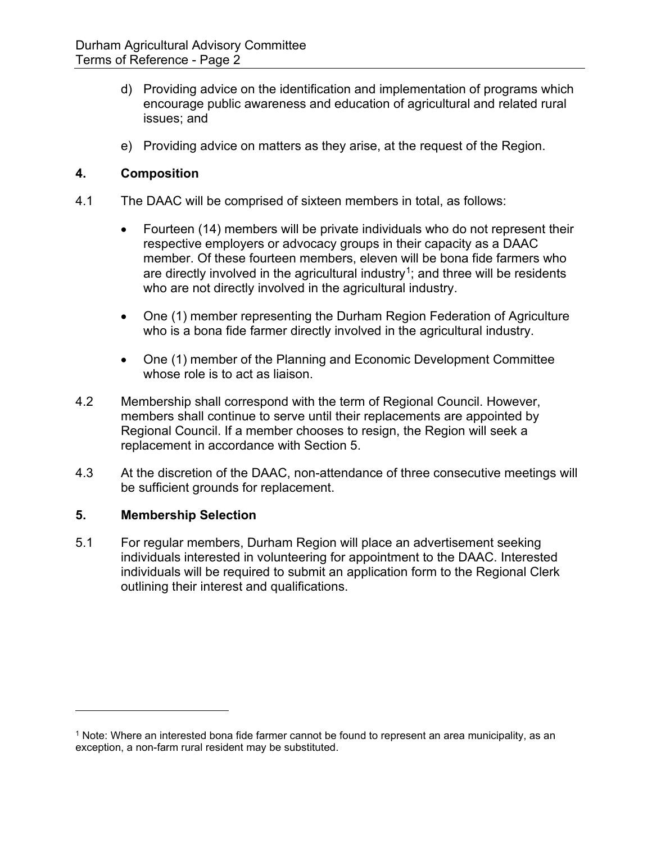- d) Providing advice on the identification and implementation of programs which encourage public awareness and education of agricultural and related rural issues; and
- e) Providing advice on matters as they arise, at the request of the Region.

## **4. Composition**

- 4.1 The DAAC will be comprised of sixteen members in total, as follows:
	- Fourteen (14) members will be private individuals who do not represent their respective employers or advocacy groups in their capacity as a DAAC member. Of these fourteen members, eleven will be bona fide farmers who are directly involved in the agricultural industry<sup>1</sup>; and three will be residents who are not directly involved in the agricultural industry.
	- One (1) member representing the Durham Region Federation of Agriculture who is a bona fide farmer directly involved in the agricultural industry.
	- One (1) member of the Planning and Economic Development Committee whose role is to act as liaison.
- 4.2 Membership shall correspond with the term of Regional Council. However, members shall continue to serve until their replacements are appointed by Regional Council. If a member chooses to resign, the Region will seek a replacement in accordance with Section 5.
- 4.3 At the discretion of the DAAC, non-attendance of three consecutive meetings will be sufficient grounds for replacement.

#### **5. Membership Selection**

5.1 For regular members, Durham Region will place an advertisement seeking individuals interested in volunteering for appointment to the DAAC. Interested individuals will be required to submit an application form to the Regional Clerk outlining their interest and qualifications.

<span id="page-1-0"></span><sup>1</sup> Note: Where an interested bona fide farmer cannot be found to represent an area municipality, as an exception, a non-farm rural resident may be substituted.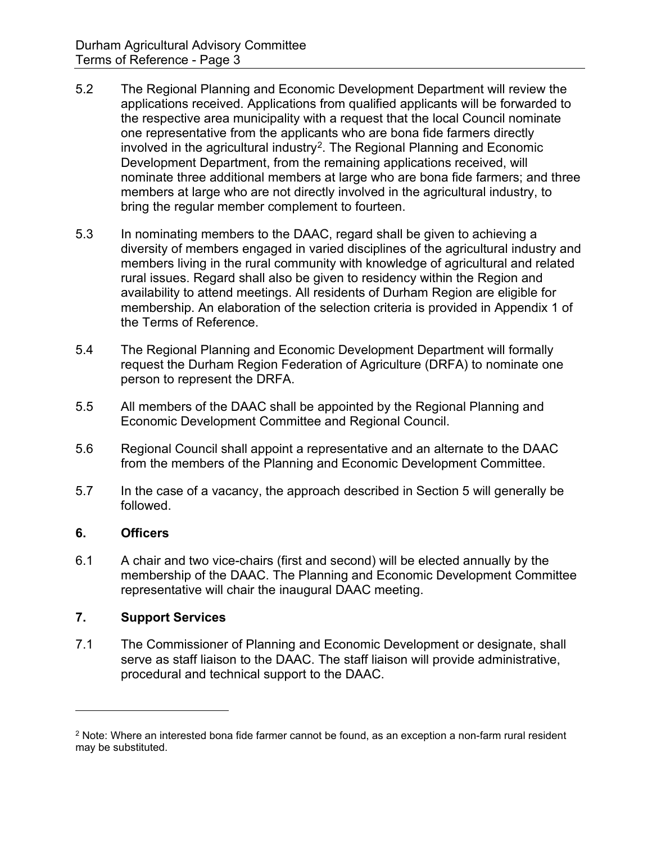- 5.2 The Regional Planning and Economic Development Department will review the applications received. Applications from qualified applicants will be forwarded to the respective area municipality with a request that the local Council nominate one representative from the applicants who are bona fide farmers directly involved in the agricultural industry<sup>2</sup>. The Regional Planning and Economic Development Department, from the remaining applications received, will nominate three additional members at large who are bona fide farmers; and three members at large who are not directly involved in the agricultural industry, to bring the regular member complement to fourteen.
- 5.3 In nominating members to the DAAC, regard shall be given to achieving a diversity of members engaged in varied disciplines of the agricultural industry and members living in the rural community with knowledge of agricultural and related rural issues. Regard shall also be given to residency within the Region and availability to attend meetings. All residents of Durham Region are eligible for membership. An elaboration of the selection criteria is provided in Appendix 1 of the Terms of Reference.
- 5.4 The Regional Planning and Economic Development Department will formally request the Durham Region Federation of Agriculture (DRFA) to nominate one person to represent the DRFA.
- 5.5 All members of the DAAC shall be appointed by the Regional Planning and Economic Development Committee and Regional Council.
- 5.6 Regional Council shall appoint a representative and an alternate to the DAAC from the members of the Planning and Economic Development Committee.
- 5.7 In the case of a vacancy, the approach described in Section 5 will generally be followed.

# **6. Officers**

6.1 A chair and two vice-chairs (first and second) will be elected annually by the membership of the DAAC. The Planning and Economic Development Committee representative will chair the inaugural DAAC meeting.

# **7. Support Services**

7.1 The Commissioner of Planning and Economic Development or designate, shall serve as staff liaison to the DAAC. The staff liaison will provide administrative, procedural and technical support to the DAAC.

<span id="page-2-0"></span> $2$  Note: Where an interested bona fide farmer cannot be found, as an exception a non-farm rural resident may be substituted.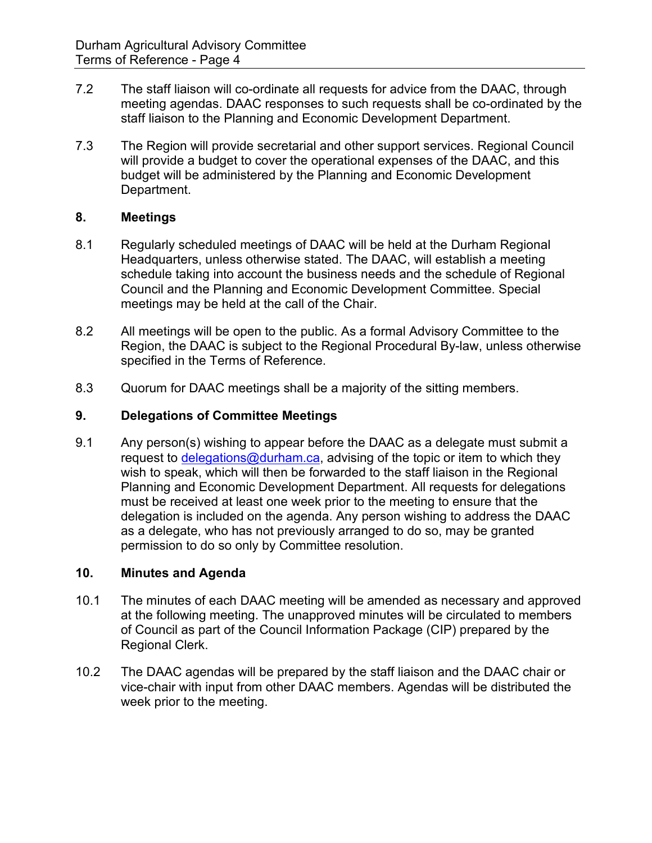- 7.2 The staff liaison will co-ordinate all requests for advice from the DAAC, through meeting agendas. DAAC responses to such requests shall be co-ordinated by the staff liaison to the Planning and Economic Development Department.
- 7.3 The Region will provide secretarial and other support services. Regional Council will provide a budget to cover the operational expenses of the DAAC, and this budget will be administered by the Planning and Economic Development Department.

## **8. Meetings**

- 8.1 Regularly scheduled meetings of DAAC will be held at the Durham Regional Headquarters, unless otherwise stated. The DAAC, will establish a meeting schedule taking into account the business needs and the schedule of Regional Council and the Planning and Economic Development Committee. Special meetings may be held at the call of the Chair.
- 8.2 All meetings will be open to the public. As a formal Advisory Committee to the Region, the DAAC is subject to the Regional Procedural By-law, unless otherwise specified in the Terms of Reference.
- 8.3 Quorum for DAAC meetings shall be a majority of the sitting members.

## **9. Delegations of Committee Meetings**

9.1 Any person(s) wishing to appear before the DAAC as a delegate must submit a request to [delegations@durham.ca,](mailto:delegations@durham.ca) advising of the topic or item to which they wish to speak, which will then be forwarded to the staff liaison in the Regional Planning and Economic Development Department. All requests for delegations must be received at least one week prior to the meeting to ensure that the delegation is included on the agenda. Any person wishing to address the DAAC as a delegate, who has not previously arranged to do so, may be granted permission to do so only by Committee resolution.

#### **10. Minutes and Agenda**

- 10.1 The minutes of each DAAC meeting will be amended as necessary and approved at the following meeting. The unapproved minutes will be circulated to members of Council as part of the Council Information Package (CIP) prepared by the Regional Clerk.
- 10.2 The DAAC agendas will be prepared by the staff liaison and the DAAC chair or vice-chair with input from other DAAC members. Agendas will be distributed the week prior to the meeting.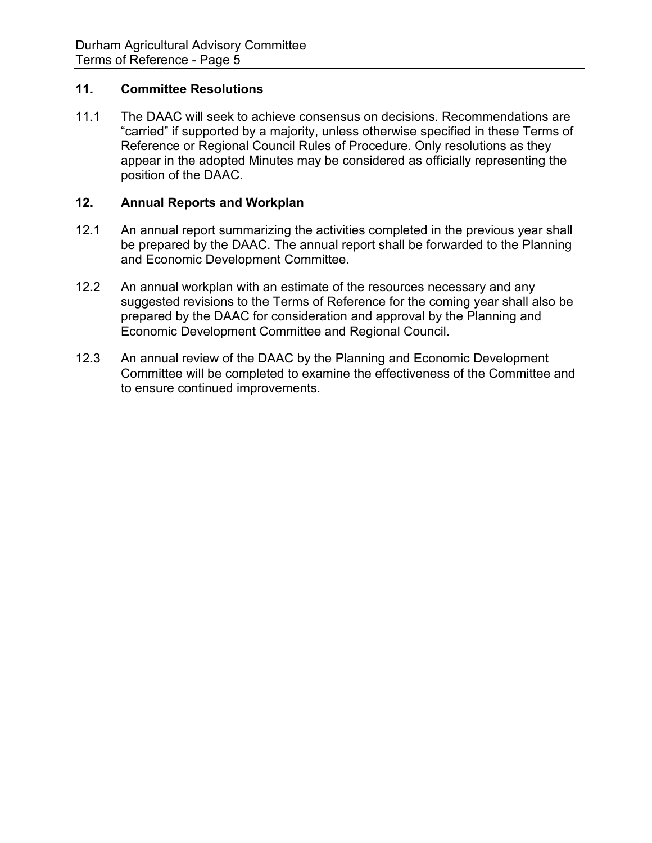#### **11. Committee Resolutions**

11.1 The DAAC will seek to achieve consensus on decisions. Recommendations are "carried" if supported by a majority, unless otherwise specified in these Terms of Reference or Regional Council Rules of Procedure. Only resolutions as they appear in the adopted Minutes may be considered as officially representing the position of the DAAC.

### **12. Annual Reports and Workplan**

- 12.1 An annual report summarizing the activities completed in the previous year shall be prepared by the DAAC. The annual report shall be forwarded to the Planning and Economic Development Committee.
- 12.2 An annual workplan with an estimate of the resources necessary and any suggested revisions to the Terms of Reference for the coming year shall also be prepared by the DAAC for consideration and approval by the Planning and Economic Development Committee and Regional Council.
- 12.3 An annual review of the DAAC by the Planning and Economic Development Committee will be completed to examine the effectiveness of the Committee and to ensure continued improvements.